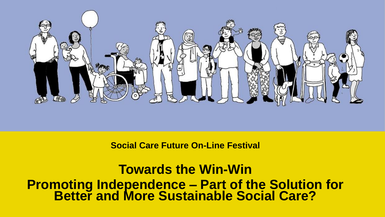

**Social Care Future On-Line Festival**

**Towards the Win-Win Promoting Independence – Part of the Solution for Better and More Sustainable Social Care?**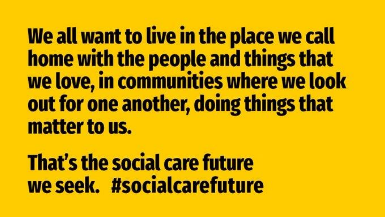We all want to live in the place we call home with the people and things that we love, in communities where we look out for one another, doing things that matter to us.

That's the social care future we seek. #socialcarefuture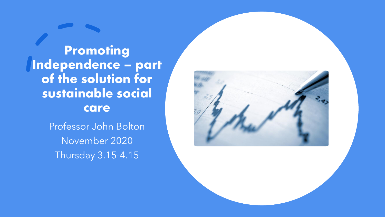Promoting Independence – part of the solution for sustainable social care

> Professor John Bolton November 2020 Thursday 3.15-4.15

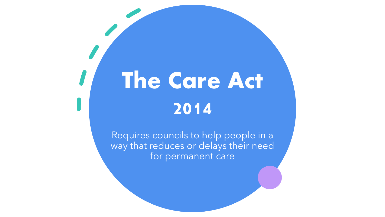# The Care Act 2014

Requires councils to help people in a way that reduces or delays their need for permanent care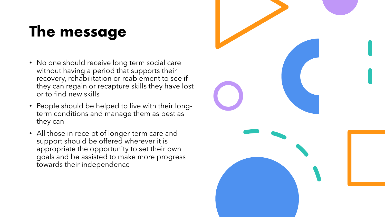# The message

- No one should receive long term social care without having a period that supports their recovery, rehabilitation or reablement to see if they can regain or recapture skills they have lost or to find new skills
- People should be helped to live with their longterm conditions and manage them as best as they can
- All those in receipt of longer-term care and support should be offered wherever it is appropriate the opportunity to set their own goals and be assisted to make more progress towards their independence

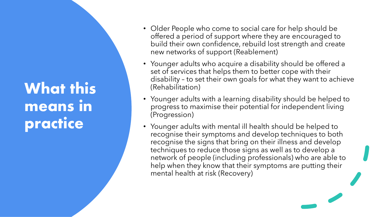### What this means in practice

- Older People who come to social care for help should be offered a period of support where they are encouraged to build their own confidence, rebuild lost strength and create new networks of support (Reablement)
- Younger adults who acquire a disability should be offered a set of services that helps them to better cope with their disability – to set their own goals for what they want to achieve (Rehabilitation)
- Younger adults with a learning disability should be helped to progress to maximise their potential for independent living (Progression)
- Younger adults with mental ill health should be helped to recognise their symptoms and develop techniques to both recognise the signs that bring on their illness and develop techniques to reduce those signs as well as to develop a network of people (including professionals) who are able to help when they know that their symptoms are putting their mental health at risk (Recovery)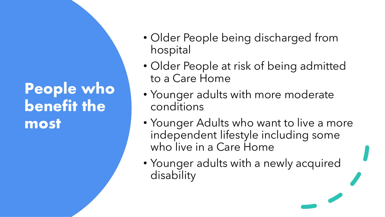#### People who benefit the most

- Older People being discharged from hospital
- Older People at risk of being admitted to a Care Home
- Younger adults with more moderate conditions
- Younger Adults who want to live a more independent lifestyle including some who live in a Care Home
- Younger adults with a newly acquired disability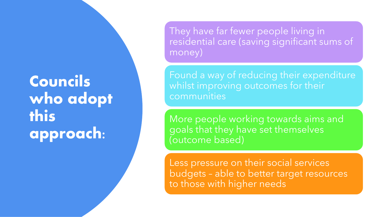## Councils who adopt this approach:

They have far fewer people living in residential care (saving significant sums of money)

Found a way of reducing their expenditure whilst improving outcomes for their communities

More people working towards aims and goals that they have set themselves (outcome based)

Less pressure on their social services budgets – able to better target resources to those with higher needs